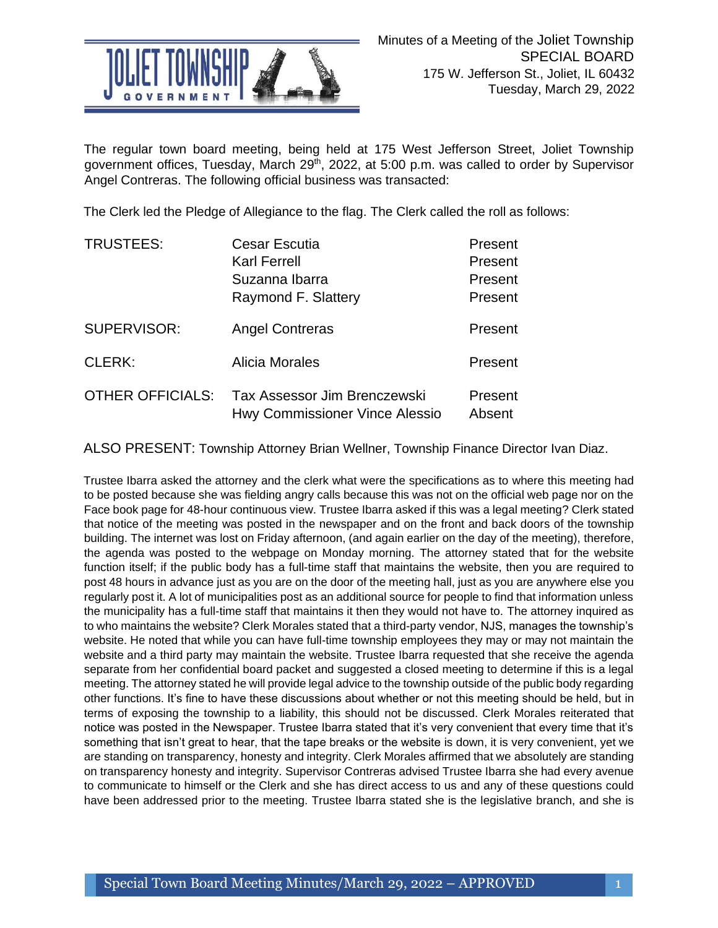

The regular town board meeting, being held at 175 West Jefferson Street, Joliet Township government offices, Tuesday, March 29<sup>th</sup>, 2022, at 5:00 p.m. was called to order by Supervisor Angel Contreras. The following official business was transacted:

The Clerk led the Pledge of Allegiance to the flag. The Clerk called the roll as follows:

| <b>TRUSTEES:</b>        | <b>Cesar Escutia</b>                                           | Present           |
|-------------------------|----------------------------------------------------------------|-------------------|
|                         | <b>Karl Ferrell</b>                                            | Present           |
|                         | Suzanna Ibarra                                                 | Present           |
|                         | Raymond F. Slattery                                            | Present           |
| SUPERVISOR:             | <b>Angel Contreras</b>                                         | Present           |
| <b>CLERK:</b>           | <b>Alicia Morales</b>                                          | Present           |
| <b>OTHER OFFICIALS:</b> | Tax Assessor Jim Brenczewski<br>Hwy Commissioner Vince Alessio | Present<br>Absent |

ALSO PRESENT: Township Attorney Brian Wellner, Township Finance Director Ivan Diaz.

Trustee Ibarra asked the attorney and the clerk what were the specifications as to where this meeting had to be posted because she was fielding angry calls because this was not on the official web page nor on the Face book page for 48-hour continuous view. Trustee Ibarra asked if this was a legal meeting? Clerk stated that notice of the meeting was posted in the newspaper and on the front and back doors of the township building. The internet was lost on Friday afternoon, (and again earlier on the day of the meeting), therefore, the agenda was posted to the webpage on Monday morning. The attorney stated that for the website function itself; if the public body has a full-time staff that maintains the website, then you are required to post 48 hours in advance just as you are on the door of the meeting hall, just as you are anywhere else you regularly post it. A lot of municipalities post as an additional source for people to find that information unless the municipality has a full-time staff that maintains it then they would not have to. The attorney inquired as to who maintains the website? Clerk Morales stated that a third-party vendor, NJS, manages the township's website. He noted that while you can have full-time township employees they may or may not maintain the website and a third party may maintain the website. Trustee Ibarra requested that she receive the agenda separate from her confidential board packet and suggested a closed meeting to determine if this is a legal meeting. The attorney stated he will provide legal advice to the township outside of the public body regarding other functions. It's fine to have these discussions about whether or not this meeting should be held, but in terms of exposing the township to a liability, this should not be discussed. Clerk Morales reiterated that notice was posted in the Newspaper. Trustee Ibarra stated that it's very convenient that every time that it's something that isn't great to hear, that the tape breaks or the website is down, it is very convenient, yet we are standing on transparency, honesty and integrity. Clerk Morales affirmed that we absolutely are standing on transparency honesty and integrity. Supervisor Contreras advised Trustee Ibarra she had every avenue to communicate to himself or the Clerk and she has direct access to us and any of these questions could have been addressed prior to the meeting. Trustee Ibarra stated she is the legislative branch, and she is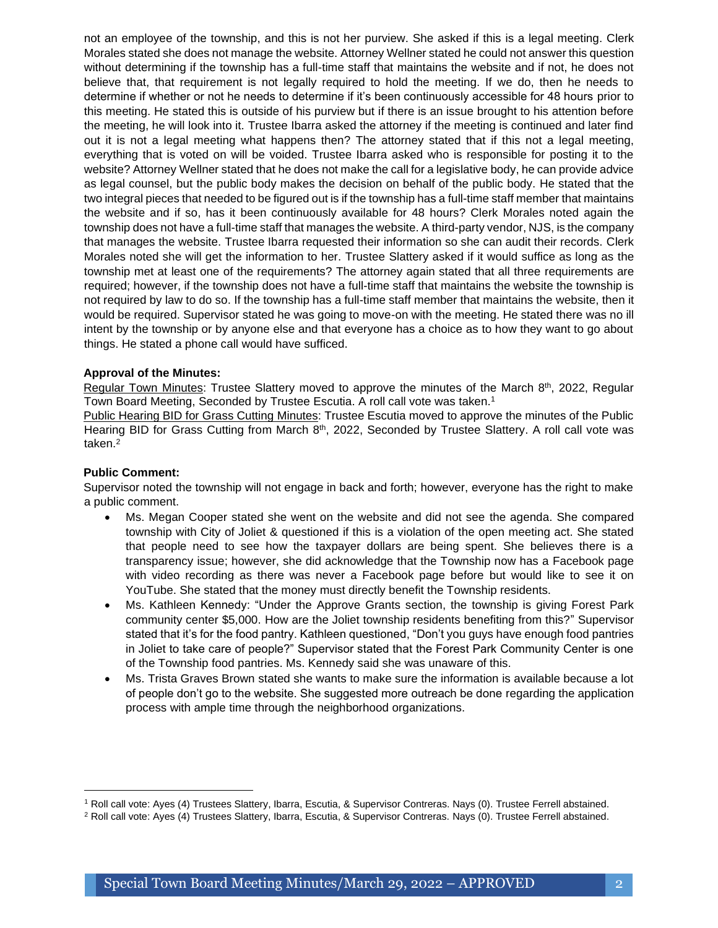not an employee of the township, and this is not her purview. She asked if this is a legal meeting. Clerk Morales stated she does not manage the website. Attorney Wellner stated he could not answer this question without determining if the township has a full-time staff that maintains the website and if not, he does not believe that, that requirement is not legally required to hold the meeting. If we do, then he needs to determine if whether or not he needs to determine if it's been continuously accessible for 48 hours prior to this meeting. He stated this is outside of his purview but if there is an issue brought to his attention before the meeting, he will look into it. Trustee Ibarra asked the attorney if the meeting is continued and later find out it is not a legal meeting what happens then? The attorney stated that if this not a legal meeting, everything that is voted on will be voided. Trustee Ibarra asked who is responsible for posting it to the website? Attorney Wellner stated that he does not make the call for a legislative body, he can provide advice as legal counsel, but the public body makes the decision on behalf of the public body. He stated that the two integral pieces that needed to be figured out is if the township has a full-time staff member that maintains the website and if so, has it been continuously available for 48 hours? Clerk Morales noted again the township does not have a full-time staff that manages the website. A third-party vendor, NJS, is the company that manages the website. Trustee Ibarra requested their information so she can audit their records. Clerk Morales noted she will get the information to her. Trustee Slattery asked if it would suffice as long as the township met at least one of the requirements? The attorney again stated that all three requirements are required; however, if the township does not have a full-time staff that maintains the website the township is not required by law to do so. If the township has a full-time staff member that maintains the website, then it would be required. Supervisor stated he was going to move-on with the meeting. He stated there was no ill intent by the township or by anyone else and that everyone has a choice as to how they want to go about things. He stated a phone call would have sufficed.

# **Approval of the Minutes:**

Regular Town Minutes: Trustee Slattery moved to approve the minutes of the March 8<sup>th</sup>, 2022, Regular Town Board Meeting, Seconded by Trustee Escutia. A roll call vote was taken.<sup>1</sup>

Public Hearing BID for Grass Cutting Minutes: Trustee Escutia moved to approve the minutes of the Public Hearing BID for Grass Cutting from March 8<sup>th</sup>, 2022, Seconded by Trustee Slattery. A roll call vote was taken.<sup>2</sup>

### **Public Comment:**

Supervisor noted the township will not engage in back and forth; however, everyone has the right to make a public comment.

- Ms. Megan Cooper stated she went on the website and did not see the agenda. She compared township with City of Joliet & questioned if this is a violation of the open meeting act. She stated that people need to see how the taxpayer dollars are being spent. She believes there is a transparency issue; however, she did acknowledge that the Township now has a Facebook page with video recording as there was never a Facebook page before but would like to see it on YouTube. She stated that the money must directly benefit the Township residents.
- Ms. Kathleen Kennedy: "Under the Approve Grants section, the township is giving Forest Park community center \$5,000. How are the Joliet township residents benefiting from this?" Supervisor stated that it's for the food pantry. Kathleen questioned, "Don't you guys have enough food pantries in Joliet to take care of people?" Supervisor stated that the Forest Park Community Center is one of the Township food pantries. Ms. Kennedy said she was unaware of this.
- Ms. Trista Graves Brown stated she wants to make sure the information is available because a lot of people don't go to the website. She suggested more outreach be done regarding the application process with ample time through the neighborhood organizations.

<sup>1</sup> Roll call vote: Ayes (4) Trustees Slattery, Ibarra, Escutia, & Supervisor Contreras. Nays (0). Trustee Ferrell abstained.

<sup>&</sup>lt;sup>2</sup> Roll call vote: Ayes (4) Trustees Slattery, Ibarra, Escutia, & Supervisor Contreras. Nays (0). Trustee Ferrell abstained.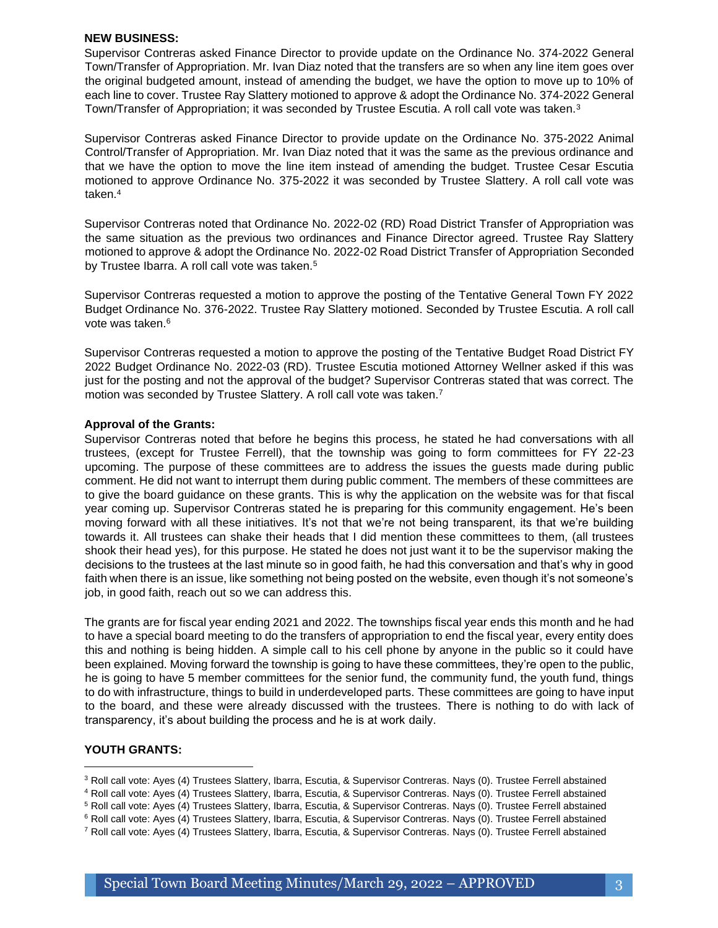#### **NEW BUSINESS:**

Supervisor Contreras asked Finance Director to provide update on the Ordinance No. 374-2022 General Town/Transfer of Appropriation. Mr. Ivan Diaz noted that the transfers are so when any line item goes over the original budgeted amount, instead of amending the budget, we have the option to move up to 10% of each line to cover. Trustee Ray Slattery motioned to approve & adopt the Ordinance No. 374-2022 General Town/Transfer of Appropriation; it was seconded by Trustee Escutia. A roll call vote was taken.<sup>3</sup>

Supervisor Contreras asked Finance Director to provide update on the Ordinance No. 375-2022 Animal Control/Transfer of Appropriation. Mr. Ivan Diaz noted that it was the same as the previous ordinance and that we have the option to move the line item instead of amending the budget. Trustee Cesar Escutia motioned to approve Ordinance No. 375-2022 it was seconded by Trustee Slattery. A roll call vote was taken.<sup>4</sup>

Supervisor Contreras noted that Ordinance No. 2022-02 (RD) Road District Transfer of Appropriation was the same situation as the previous two ordinances and Finance Director agreed. Trustee Ray Slattery motioned to approve & adopt the Ordinance No. 2022-02 Road District Transfer of Appropriation Seconded by Trustee Ibarra. A roll call vote was taken.<sup>5</sup>

Supervisor Contreras requested a motion to approve the posting of the Tentative General Town FY 2022 Budget Ordinance No. 376-2022. Trustee Ray Slattery motioned. Seconded by Trustee Escutia. A roll call vote was taken.<sup>6</sup>

Supervisor Contreras requested a motion to approve the posting of the Tentative Budget Road District FY 2022 Budget Ordinance No. 2022-03 (RD). Trustee Escutia motioned Attorney Wellner asked if this was just for the posting and not the approval of the budget? Supervisor Contreras stated that was correct. The motion was seconded by Trustee Slattery. A roll call vote was taken.<sup>7</sup>

### **Approval of the Grants:**

Supervisor Contreras noted that before he begins this process, he stated he had conversations with all trustees, (except for Trustee Ferrell), that the township was going to form committees for FY 22-23 upcoming. The purpose of these committees are to address the issues the guests made during public comment. He did not want to interrupt them during public comment. The members of these committees are to give the board guidance on these grants. This is why the application on the website was for that fiscal year coming up. Supervisor Contreras stated he is preparing for this community engagement. He's been moving forward with all these initiatives. It's not that we're not being transparent, its that we're building towards it. All trustees can shake their heads that I did mention these committees to them, (all trustees shook their head yes), for this purpose. He stated he does not just want it to be the supervisor making the decisions to the trustees at the last minute so in good faith, he had this conversation and that's why in good faith when there is an issue, like something not being posted on the website, even though it's not someone's job, in good faith, reach out so we can address this.

The grants are for fiscal year ending 2021 and 2022. The townships fiscal year ends this month and he had to have a special board meeting to do the transfers of appropriation to end the fiscal year, every entity does this and nothing is being hidden. A simple call to his cell phone by anyone in the public so it could have been explained. Moving forward the township is going to have these committees, they're open to the public, he is going to have 5 member committees for the senior fund, the community fund, the youth fund, things to do with infrastructure, things to build in underdeveloped parts. These committees are going to have input to the board, and these were already discussed with the trustees. There is nothing to do with lack of transparency, it's about building the process and he is at work daily.

### **YOUTH GRANTS:**

- <sup>3</sup> Roll call vote: Ayes (4) Trustees Slattery, Ibarra, Escutia, & Supervisor Contreras. Nays (0). Trustee Ferrell abstained
- <sup>4</sup> Roll call vote: Ayes (4) Trustees Slattery, Ibarra, Escutia, & Supervisor Contreras. Nays (0). Trustee Ferrell abstained

<sup>5</sup> Roll call vote: Ayes (4) Trustees Slattery, Ibarra, Escutia, & Supervisor Contreras. Nays (0). Trustee Ferrell abstained

<sup>&</sup>lt;sup>6</sup> Roll call vote: Ayes (4) Trustees Slattery, Ibarra, Escutia, & Supervisor Contreras. Nays (0). Trustee Ferrell abstained

<sup>7</sup> Roll call vote: Ayes (4) Trustees Slattery, Ibarra, Escutia, & Supervisor Contreras. Nays (0). Trustee Ferrell abstained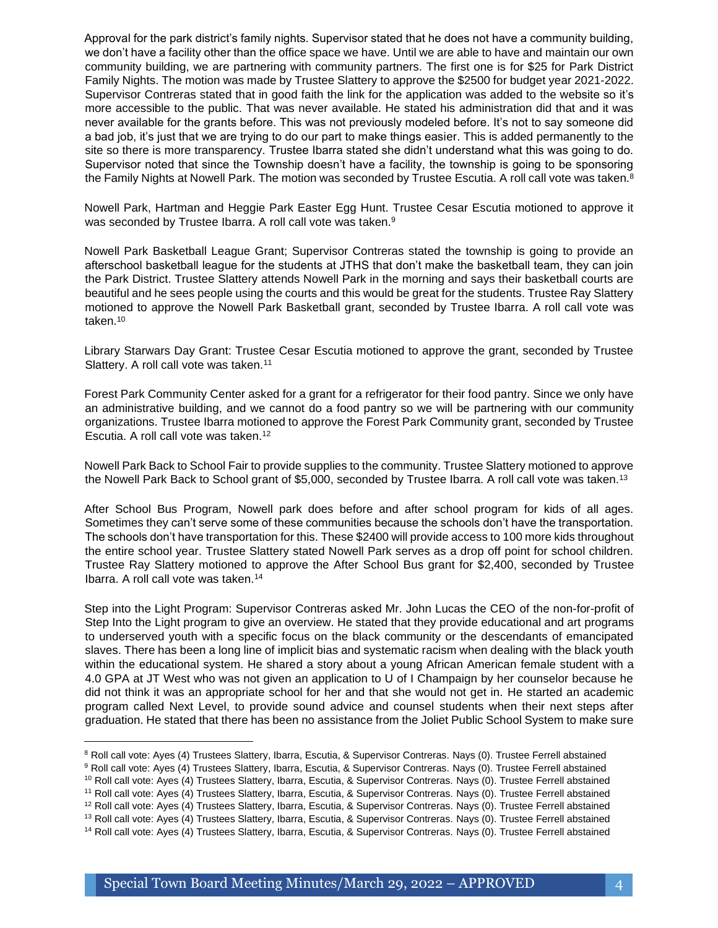Approval for the park district's family nights. Supervisor stated that he does not have a community building, we don't have a facility other than the office space we have. Until we are able to have and maintain our own community building, we are partnering with community partners. The first one is for \$25 for Park District Family Nights. The motion was made by Trustee Slattery to approve the \$2500 for budget year 2021-2022. Supervisor Contreras stated that in good faith the link for the application was added to the website so it's more accessible to the public. That was never available. He stated his administration did that and it was never available for the grants before. This was not previously modeled before. It's not to say someone did a bad job, it's just that we are trying to do our part to make things easier. This is added permanently to the site so there is more transparency. Trustee Ibarra stated she didn't understand what this was going to do. Supervisor noted that since the Township doesn't have a facility, the township is going to be sponsoring the Family Nights at Nowell Park. The motion was seconded by Trustee Escutia. A roll call vote was taken.<sup>8</sup>

Nowell Park, Hartman and Heggie Park Easter Egg Hunt. Trustee Cesar Escutia motioned to approve it was seconded by Trustee Ibarra. A roll call vote was taken.<sup>9</sup>

Nowell Park Basketball League Grant; Supervisor Contreras stated the township is going to provide an afterschool basketball league for the students at JTHS that don't make the basketball team, they can join the Park District. Trustee Slattery attends Nowell Park in the morning and says their basketball courts are beautiful and he sees people using the courts and this would be great for the students. Trustee Ray Slattery motioned to approve the Nowell Park Basketball grant, seconded by Trustee Ibarra. A roll call vote was taken.<sup>10</sup>

Library Starwars Day Grant: Trustee Cesar Escutia motioned to approve the grant, seconded by Trustee Slattery. A roll call vote was taken.<sup>11</sup>

Forest Park Community Center asked for a grant for a refrigerator for their food pantry. Since we only have an administrative building, and we cannot do a food pantry so we will be partnering with our community organizations. Trustee Ibarra motioned to approve the Forest Park Community grant, seconded by Trustee Escutia. A roll call vote was taken.<sup>12</sup>

Nowell Park Back to School Fair to provide supplies to the community. Trustee Slattery motioned to approve the Nowell Park Back to School grant of \$5,000, seconded by Trustee Ibarra. A roll call vote was taken.<sup>13</sup>

After School Bus Program, Nowell park does before and after school program for kids of all ages. Sometimes they can't serve some of these communities because the schools don't have the transportation. The schools don't have transportation for this. These \$2400 will provide access to 100 more kids throughout the entire school year. Trustee Slattery stated Nowell Park serves as a drop off point for school children. Trustee Ray Slattery motioned to approve the After School Bus grant for \$2,400, seconded by Trustee Ibarra. A roll call vote was taken.<sup>14</sup>

Step into the Light Program: Supervisor Contreras asked Mr. John Lucas the CEO of the non-for-profit of Step Into the Light program to give an overview. He stated that they provide educational and art programs to underserved youth with a specific focus on the black community or the descendants of emancipated slaves. There has been a long line of implicit bias and systematic racism when dealing with the black youth within the educational system. He shared a story about a young African American female student with a 4.0 GPA at JT West who was not given an application to U of I Champaign by her counselor because he did not think it was an appropriate school for her and that she would not get in. He started an academic program called Next Level, to provide sound advice and counsel students when their next steps after graduation. He stated that there has been no assistance from the Joliet Public School System to make sure

<sup>10</sup> Roll call vote: Ayes (4) Trustees Slattery, Ibarra, Escutia, & Supervisor Contreras. Nays (0). Trustee Ferrell abstained

<sup>&</sup>lt;sup>8</sup> Roll call vote: Ayes (4) Trustees Slattery, Ibarra, Escutia, & Supervisor Contreras. Nays (0). Trustee Ferrell abstained

<sup>&</sup>lt;sup>9</sup> Roll call vote: Ayes (4) Trustees Slattery, Ibarra, Escutia, & Supervisor Contreras. Nays (0). Trustee Ferrell abstained

<sup>11</sup> Roll call vote: Ayes (4) Trustees Slattery, Ibarra, Escutia, & Supervisor Contreras. Nays (0). Trustee Ferrell abstained <sup>12</sup> Roll call vote: Ayes (4) Trustees Slattery, Ibarra, Escutia, & Supervisor Contreras. Nays (0). Trustee Ferrell abstained

<sup>&</sup>lt;sup>13</sup> Roll call vote: Ayes (4) Trustees Slattery, Ibarra, Escutia, & Supervisor Contreras. Nays (0). Trustee Ferrell abstained

<sup>14</sup> Roll call vote: Ayes (4) Trustees Slattery, Ibarra, Escutia, & Supervisor Contreras. Nays (0). Trustee Ferrell abstained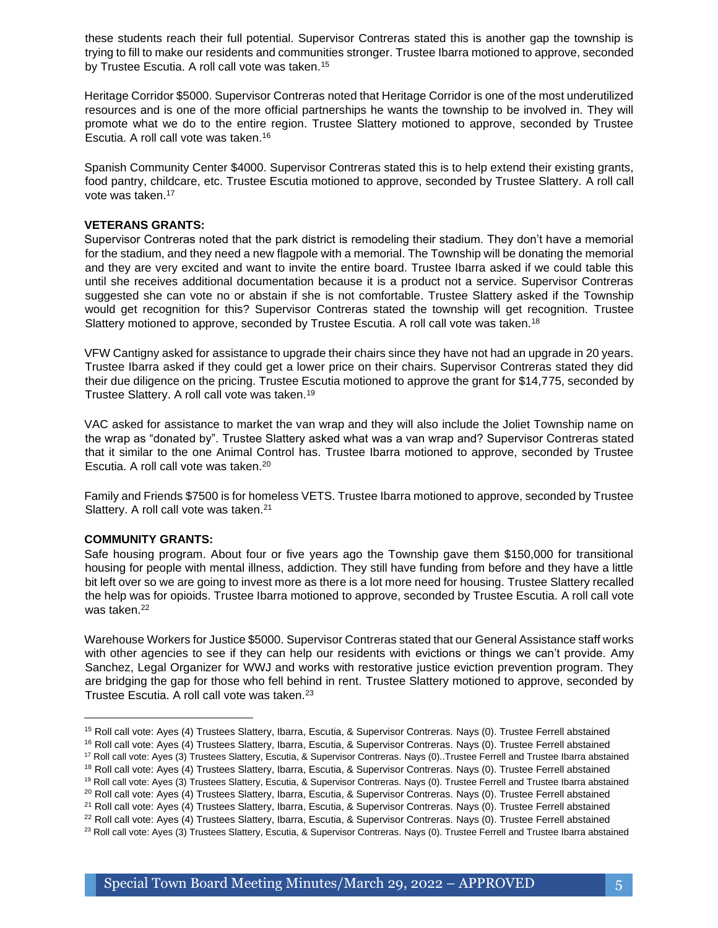these students reach their full potential. Supervisor Contreras stated this is another gap the township is trying to fill to make our residents and communities stronger. Trustee Ibarra motioned to approve, seconded by Trustee Escutia. A roll call vote was taken.<sup>15</sup>

Heritage Corridor \$5000. Supervisor Contreras noted that Heritage Corridor is one of the most underutilized resources and is one of the more official partnerships he wants the township to be involved in. They will promote what we do to the entire region. Trustee Slattery motioned to approve, seconded by Trustee Escutia. A roll call vote was taken.<sup>16</sup>

Spanish Community Center \$4000. Supervisor Contreras stated this is to help extend their existing grants, food pantry, childcare, etc. Trustee Escutia motioned to approve, seconded by Trustee Slattery. A roll call vote was taken.<sup>17</sup>

## **VETERANS GRANTS:**

Supervisor Contreras noted that the park district is remodeling their stadium. They don't have a memorial for the stadium, and they need a new flagpole with a memorial. The Township will be donating the memorial and they are very excited and want to invite the entire board. Trustee Ibarra asked if we could table this until she receives additional documentation because it is a product not a service. Supervisor Contreras suggested she can vote no or abstain if she is not comfortable. Trustee Slattery asked if the Township would get recognition for this? Supervisor Contreras stated the township will get recognition. Trustee Slattery motioned to approve, seconded by Trustee Escutia. A roll call vote was taken.<sup>18</sup>

VFW Cantigny asked for assistance to upgrade their chairs since they have not had an upgrade in 20 years. Trustee Ibarra asked if they could get a lower price on their chairs. Supervisor Contreras stated they did their due diligence on the pricing. Trustee Escutia motioned to approve the grant for \$14,775, seconded by Trustee Slattery. A roll call vote was taken.<sup>19</sup>

VAC asked for assistance to market the van wrap and they will also include the Joliet Township name on the wrap as "donated by". Trustee Slattery asked what was a van wrap and? Supervisor Contreras stated that it similar to the one Animal Control has. Trustee Ibarra motioned to approve, seconded by Trustee Escutia. A roll call vote was taken.<sup>20</sup>

Family and Friends \$7500 is for homeless VETS. Trustee Ibarra motioned to approve, seconded by Trustee Slattery. A roll call vote was taken.<sup>21</sup>

### **COMMUNITY GRANTS:**

Safe housing program. About four or five years ago the Township gave them \$150,000 for transitional housing for people with mental illness, addiction. They still have funding from before and they have a little bit left over so we are going to invest more as there is a lot more need for housing. Trustee Slattery recalled the help was for opioids. Trustee Ibarra motioned to approve, seconded by Trustee Escutia. A roll call vote was taken.<sup>22</sup>

Warehouse Workers for Justice \$5000. Supervisor Contreras stated that our General Assistance staff works with other agencies to see if they can help our residents with evictions or things we can't provide. Amy Sanchez, Legal Organizer for WWJ and works with restorative justice eviction prevention program. They are bridging the gap for those who fell behind in rent. Trustee Slattery motioned to approve, seconded by Trustee Escutia. A roll call vote was taken.<sup>23</sup>

<sup>15</sup> Roll call vote: Ayes (4) Trustees Slattery, Ibarra, Escutia, & Supervisor Contreras. Nays (0). Trustee Ferrell abstained

<sup>16</sup> Roll call vote: Ayes (4) Trustees Slattery, Ibarra, Escutia, & Supervisor Contreras. Nays (0). Trustee Ferrell abstained

<sup>17</sup> Roll call vote: Ayes (3) Trustees Slattery, Escutia, & Supervisor Contreras. Nays (0)..Trustee Ferrell and Trustee Ibarra abstained

<sup>18</sup> Roll call vote: Ayes (4) Trustees Slattery, Ibarra, Escutia, & Supervisor Contreras. Nays (0). Trustee Ferrell abstained

<sup>&</sup>lt;sup>19</sup> Roll call vote: Ayes (3) Trustees Slattery, Escutia, & Supervisor Contreras. Nays (0). Trustee Ferrell and Trustee Ibarra abstained

<sup>&</sup>lt;sup>20</sup> Roll call vote: Ayes (4) Trustees Slattery, Ibarra, Escutia, & Supervisor Contreras. Nays (0). Trustee Ferrell abstained

<sup>&</sup>lt;sup>21</sup> Roll call vote: Ayes (4) Trustees Slattery, Ibarra, Escutia, & Supervisor Contreras. Nays (0). Trustee Ferrell abstained <sup>22</sup> Roll call vote: Ayes (4) Trustees Slattery, Ibarra, Escutia, & Supervisor Contreras. Nays (0). Trustee Ferrell abstained

<sup>&</sup>lt;sup>23</sup> Roll call vote: Ayes (3) Trustees Slattery, Escutia, & Supervisor Contreras. Nays (0). Trustee Ferrell and Trustee Ibarra abstained